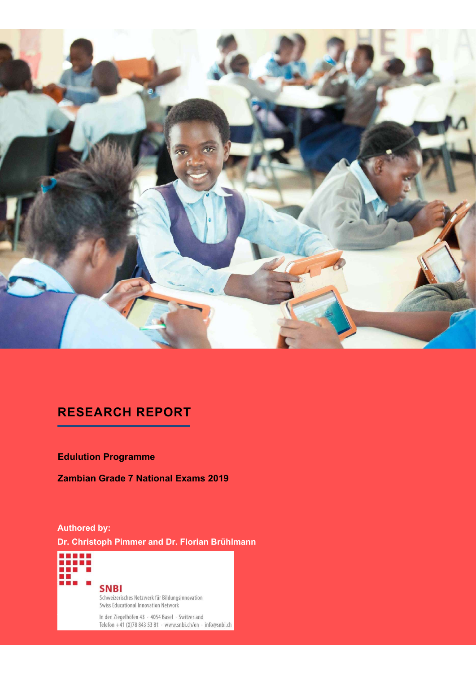

# RESEARCH REPORT

Edulution Programme

Zambian Grade 7 National Exams 2019

### Authored by:

Dr. Christoph Pimmer and Dr. Florian Brühlmann

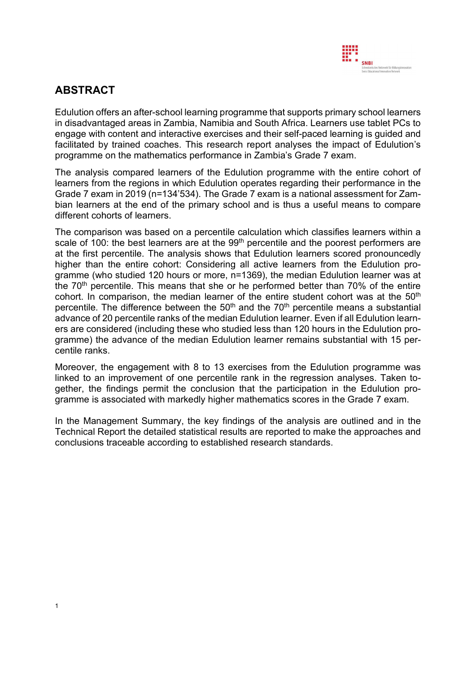

# ABSTRACT

**Edulution offers an after-school learning programme that supports primary school learners**<br>Edulution offers an after-school learning programme that supports primary school learners<br>engage with content and interactive exer in disadvantaged areas in Zambia, Namibia and South Africa. Learners use tablet PCs to engage with content and interactive exercises and their self-paced learning is guided and facilitated by trained coaches. This research report analyses the impact of Edulution's programme on the mathematics performance in Zambia's Grade 7 exam.

**ABSTRACT**<br>
Edulution offers an after-school learning programme that supports primary school learners<br>
in disadvantaged areas in Zambia, Namibia and South Africa. Learners use tablet PCs to<br>
engage with content and interac learners from the regions in which Edulution operates regarding their performance in the Grade 7 exam in 2019 (n=134'534). The Grade 7 exam is a national assessment for Zam-**ABSTRACT**<br>Edulution offers an after-school learning programme that supports primary school learners<br>in disadvantaged areas in Zambia, Namibia and South Africa. Learners use tablet PCs to<br>engage with content and interactiv **Edulution offers an after-school learning programme that supports primary school learners**<br>
bian disadvantaged areas in Zambia, Namibia and South Africa. Learners use tablet PCs to<br>
engage with content and interactive exe different cohorts of learners.

**ABSTRACT**<br> **Edulution offers an after-school learning programme that supports primary school learners**<br>
in disadvantaged areas in Zambia, Namibia and South Africa. Learners use tablet PCs to<br>
engage with content and inte **Edulution offers an after-school learning programme that supports primary school learners are in disadvantaged areas in Zambia Namibia and South Africa. Learners use tablet PCs to engage with content and interactive exer** at the first percentile. The analysis shows that Edulution learners scored pronouncedly **ABSTRACT**<br> **Edulution offers an after-school learning programme that supports primary school learners**<br>
in disadvantaged areas in Zambia, Namibia and South Africa. Learners use tablet PCs to<br>
engage with content and inte **ABSTRACT**<br>Edulution offers an after-school learning programme that supports primary school learners in disadvantaged areas in Zambia Namibia and South Africa. Learners use tablet PCs to engage with content and interactive **ABSTRACT**<br>Edulution offers an after-school learning programme that supports primary school learners in disadvantaged areas in Zambia, Namibia and South Africa. Learners use tablet PCs to engage with content and interacti **ABS IRACT**<br>Edulution offers an after-school learning programme that supports primary school learners<br>in disadvantaged areas in Zambia, Namibia and South Africa. Learners use tablet PCs to<br>engage with content and interact Edulution offers an after-school learning programme that supports primary school learners<br>in disadvantaged areas in Zambia, Namibia and South Africa. Learners use tablet PCs to<br>engage with content and interactive exercise Edulution offers an affer-school learning programme that supports primary school learners and the statement that supports primary school learners is the median end the median of the median and South Africa. Learners use ta in disadvantaged areas in Zambia, Namibia and South Africa. Learners use tablet PCs to engage with content and interactive exercises and their sef-paced learning is guided and facilitated by trained coaches. This research engage with content and interactive exercises and their self-paced learning is guided and<br>facilitated by trained coaches. This research report analyses the impact of Edulution's<br>programme on the mathematics performance in centile ranks. The analysis compared learners of the Edulution programme with the entire cohot of learners from the regions in which Edulution operates regarding their performance in the learners from the regions in which Edulution oper The analysis compared learners of the Edulution programme with the entire cohot of the performance in the entire cohor of the primary school and is thus a useful means to compare different cohors of the entires at the end Grade 7 exam in 2019 (n=134534). The Grade 7 exam is a national assessment for Zam-<br>Grade 7 exam in 2019 (n=134534). The Grade 7 exam is a useful means to compare<br>different cohorts of learners.<br>The comparison was based on The comparison was used or a potentime calculation winder cases cannot and the first percentile. The analysis shows that Edulution learners scored pronounced at the first percentile. The analysis shows that Edulution learn

gether, the findings permit the conclusion that the participation in the Edulution pro-

In the Management Summary, the key findings of the analysis are outlined and in the Technical Report the detailed statistical results are reported to make the approaches and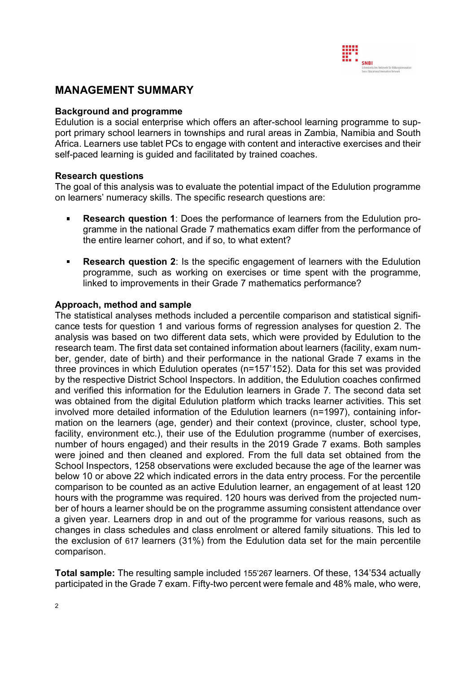

## MANAGEMENT SUMMARY

#### Background and programme

Edulution is a social enterprise which offers an after-school learning programme to support primary school learners in townships and rural areas in Zambia, Namibia and South Africa. Learners use tablet PCs to engage with content and interactive exercises and their self-paced learning is guided and facilitated by trained coaches.

#### Research questions

The goal of this analysis was to evaluate the potential impact of the Edulution programme on learners' numeracy skills. The specific research questions are:

- Research question 1: Does the performance of learners from the Edulution pro- $\blacksquare$ gramme in the national Grade 7 mathematics exam differ from the performance of the entire learner cohort, and if so, to what extent?
- Research question 2: Is the specific engagement of learners with the Edulution  $\blacksquare$ programme, such as working on exercises or time spent with the programme, linked to improvements in their Grade 7 mathematics performance?

#### Approach, method and sample

The statistical analyses methods included a percentile comparison and statistical significance tests for question 1 and various forms of regression analyses for question 2. The analysis was based on two different data sets, which were provided by Edulution to the research team. The first data set contained information about learners (facility, exam number, gender, date of birth) and their performance in the national Grade 7 exams in the three provinces in which Edulution operates (n=157'152). Data for this set was provided by the respective District School Inspectors. In addition, the Edulution coaches confirmed and verified this information for the Edulution learners in Grade 7. The second data set was obtained from the digital Edulution platform which tracks learner activities. This set involved more detailed information of the Edulution learners (n=1997), containing information on the learners (age, gender) and their context (province, cluster, school type, facility, environment etc.), their use of the Edulution programme (number of exercises, number of hours engaged) and their results in the 2019 Grade 7 exams. Both samples were joined and then cleaned and explored. From the full data set obtained from the School Inspectors, 1258 observations were excluded because the age of the learner was below 10 or above 22 which indicated errors in the data entry process. For the percentile comparison to be counted as an active Edulution learner, an engagement of at least 120 hours with the programme was required. 120 hours was derived from the projected number of hours a learner should be on the programme assuming consistent attendance over a given year. Learners drop in and out of the programme for various reasons, such as changes in class schedules and class enrolment or altered family situations. This led to the exclusion of 617 learners (31%) from the Edulution data set for the main percentile comparison.

Total sample: The resulting sample included 155'267 learners. Of these, 134'534 actually participated in the Grade 7 exam. Fifty-two percent were female and 48% male, who were,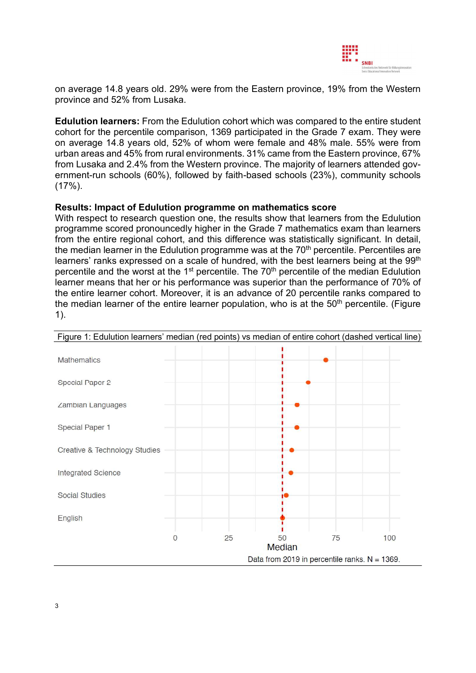

on average 14.8 years old. 29% were from the Eastern province, 19% from the Western province and 52% from Lusaka.

Edulution learners: From the Edulution cohort which was compared to the entire student cohort for the percentile comparison, 1369 participated in the Grade 7 exam. They were on average 14.8 years old, 52% of whom were female and 48% male. 55% were from urban areas and 45% from rural environments. 31% came from the Eastern province, 67% from Lusaka and 2.4% from the Western province. The majority of learners attended government-run schools (60%), followed by faith-based schools (23%), community schools (17%).

#### Results: Impact of Edulution programme on mathematics score

With respect to research question one, the results show that learners from the Edulution programme scored pronouncedly higher in the Grade 7 mathematics exam than learners from the entire regional cohort, and this difference was statistically significant. In detail, the median learner in the Edulution programme was at the  $70<sup>th</sup>$  percentile. Percentiles are learners' ranks expressed on a scale of hundred, with the best learners being at the 99<sup>th</sup> percentile and the worst at the 1<sup>st</sup> percentile. The 70<sup>th</sup> percentile of the median Edulution learner means that her or his performance was superior than the performance of 70% of the entire learner cohort. Moreover, it is an advance of 20 percentile ranks compared to the median learner of the entire learner population, who is at the  $50<sup>th</sup>$  percentile. (Figure 1).



Figure 1: Edulution learners' median (red points) vs median of entire cohort (dashed vertical line)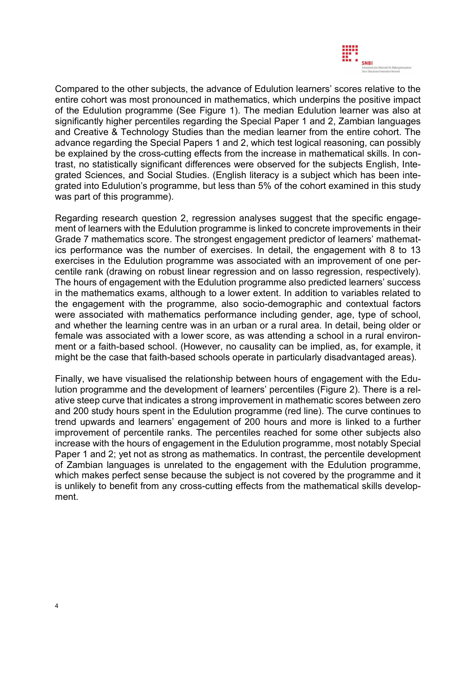

Compared to the other subjects, the advance of Edulution learners' scores relative to the entire cohort was most pronounced in mathematics, which underpins the positive impact of the Edulution programme (See Figure 1). The median Edulution learner was also at significantly higher percentiles regarding the Special Paper 1 and 2, Zambian languages and Creative & Technology Studies than the median learner from the entire cohort. The advance regarding the Special Papers 1 and 2, which test logical reasoning, can possibly be explained by the cross-cutting effects from the increase in mathematical skills. In contrast, no statistically significant differences were observed for the subjects English, Integrated Sciences, and Social Studies. (English literacy is a subject which has been integrated into Edulution's programme, but less than 5% of the cohort examined in this study was part of this programme).

Regarding research question 2, regression analyses suggest that the specific engagement of learners with the Edulution programme is linked to concrete improvements in their Grade 7 mathematics score. The strongest engagement predictor of learners' mathematics performance was the number of exercises. In detail, the engagement with 8 to 13 exercises in the Edulution programme was associated with an improvement of one percentile rank (drawing on robust linear regression and on lasso regression, respectively). The hours of engagement with the Edulution programme also predicted learners' success in the mathematics exams, although to a lower extent. In addition to variables related to the engagement with the programme, also socio-demographic and contextual factors were associated with mathematics performance including gender, age, type of school, and whether the learning centre was in an urban or a rural area. In detail, being older or female was associated with a lower score, as was attending a school in a rural environment or a faith-based school. (However, no causality can be implied, as, for example, it might be the case that faith-based schools operate in particularly disadvantaged areas).

Finally, we have visualised the relationship between hours of engagement with the Edulution programme and the development of learners' percentiles (Figure 2). There is a relative steep curve that indicates a strong improvement in mathematic scores between zero and 200 study hours spent in the Edulution programme (red line). The curve continues to trend upwards and learners' engagement of 200 hours and more is linked to a further improvement of percentile ranks. The percentiles reached for some other subjects also increase with the hours of engagement in the Edulution programme, most notably Special Paper 1 and 2; yet not as strong as mathematics. In contrast, the percentile development of Zambian languages is unrelated to the engagement with the Edulution programme, which makes perfect sense because the subject is not covered by the programme and it is unlikely to benefit from any cross-cutting effects from the mathematical skills development.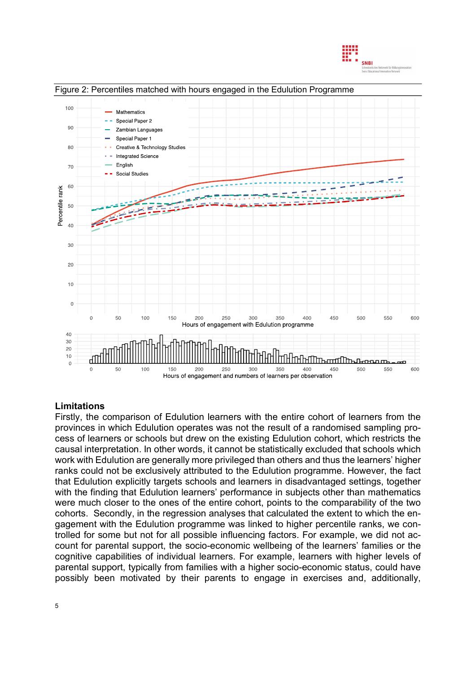



## Limitations

Firstly, the comparison of Edulution learners with the entire cohort of learners from the provinces in which Edulution operates was not the result of a randomised sampling process of learners or schools but drew on the existing Edulution cohort, which restricts the causal interpretation. In other words, it cannot be statistically excluded that schools which work with Edulution are generally more privileged than others and thus the learners' higher ranks could not be exclusively attributed to the Edulution programme. However, the fact that Edulution explicitly targets schools and learners in disadvantaged settings, together with the finding that Edulution learners' performance in subjects other than mathematics were much closer to the ones of the entire cohort, points to the comparability of the two cohorts. Secondly, in the regression analyses that calculated the extent to which the engagement with the Edulution programme was linked to higher percentile ranks, we controlled for some but not for all possible influencing factors. For example, we did not account for parental support, the socio-economic wellbeing of the learners' families or the cognitive capabilities of individual learners. For example, learners with higher levels of parental support, typically from families with a higher socio-economic status, could have possibly been motivated by their parents to engage in exercises and, additionally,